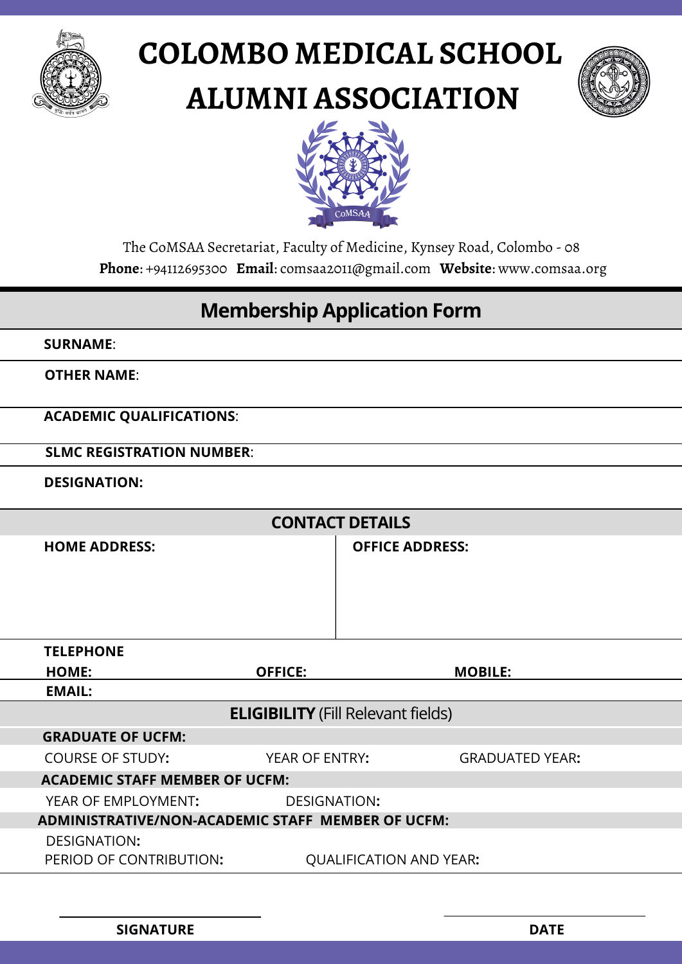

# **COLOMBO MEDICAL SCHOOL ALUMNI ASSOCIATION**





The CoMSAA Secretariat, Faculty of Medicine, Kynsey Road, Colombo - 08 **Phone**: +94112695300 **Email**: comsaa2011@gmail.com **Website**: www.comsaa.org

#### **Membership Application Form**

**SURNAME**:

**OTHER NAME**:

**ACADEMIC QUALIFICATIONS**:

**SLMC REGISTRATION NUMBER**:

**DESIGNATION:**

| <b>CONTACT DETAILS</b>                            |                                       |                                |                        |                        |  |
|---------------------------------------------------|---------------------------------------|--------------------------------|------------------------|------------------------|--|
|                                                   | <b>HOME ADDRESS:</b>                  |                                | <b>OFFICE ADDRESS:</b> |                        |  |
|                                                   |                                       |                                |                        |                        |  |
|                                                   |                                       |                                |                        |                        |  |
|                                                   |                                       |                                |                        |                        |  |
|                                                   |                                       |                                |                        |                        |  |
|                                                   | <b>TELEPHONE</b>                      |                                |                        |                        |  |
|                                                   | <b>HOME:</b>                          | <b>OFFICE:</b>                 |                        | <b>MOBILE:</b>         |  |
|                                                   | <b>EMAIL:</b>                         |                                |                        |                        |  |
| <b>ELIGIBILITY</b> (Fill Relevant fields)         |                                       |                                |                        |                        |  |
|                                                   | <b>GRADUATE OF UCFM:</b>              |                                |                        |                        |  |
|                                                   | <b>COURSE OF STUDY:</b>               | YEAR OF ENTRY:                 |                        | <b>GRADUATED YEAR:</b> |  |
|                                                   | <b>ACADEMIC STAFF MEMBER OF UCFM:</b> |                                |                        |                        |  |
|                                                   | YEAR OF EMPLOYMENT:                   | <b>DESIGNATION:</b>            |                        |                        |  |
| ADMINISTRATIVE/NON-ACADEMIC STAFF MEMBER OF UCFM: |                                       |                                |                        |                        |  |
|                                                   | DESIGNATION:                          |                                |                        |                        |  |
|                                                   | PERIOD OF CONTRIBUTION:               | <b>QUALIFICATION AND YEAR:</b> |                        |                        |  |
|                                                   |                                       |                                |                        |                        |  |